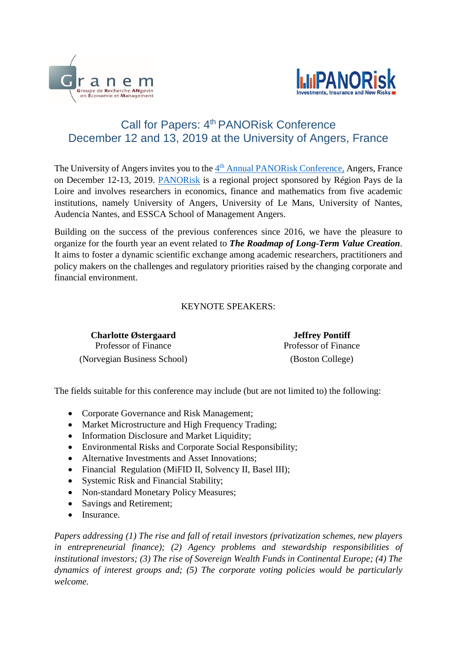



## Call for Papers: 4<sup>th</sup> PANORisk Conference December 12 and 13, 2019 at the University of Angers, France

The University of Angers invites you to the 4<sup>th</sup> [Annual PANORisk Conference,](http://granem.univ-angers.fr/fr/acces-directs/manifestations/colloques---journees-d-etudes/conference-panorisk-2019.html) Angers, France on December 12-13, 2019. [PANORisk](http://panorisk.univ-lemans.fr/en/index.html) is a regional project sponsored by Région Pays de la Loire and involves researchers in economics, finance and mathematics from five academic institutions, namely University of Angers, University of Le Mans, University of Nantes, Audencia Nantes, and ESSCA School of Management Angers.

Building on the success of the previous conferences since 2016, we have the pleasure to organize for the fourth year an event related to *The Roadmap of Long-Term Value Creation*. It aims to foster a dynamic scientific exchange among academic researchers, practitioners and policy makers on the challenges and regulatory priorities raised by the changing corporate and financial environment.

## KEYNOTE SPEAKERS:

**Charlotte Østergaard** Professor of Finance (Norvegian Business School) (Boston College)

**Jeffrey Pontiff** Professor of Finance

The fields suitable for this conference may include (but are not limited to) the following:

- Corporate Governance and Risk Management;
- Market Microstructure and High Frequency Trading;
- Information Disclosure and Market Liquidity;
- Environmental Risks and Corporate Social Responsibility;
- Alternative Investments and Asset Innovations;
- Financial Regulation (MiFID II, Solvency II, Basel III);
- Systemic Risk and Financial Stability;
- Non-standard Monetary Policy Measures;
- Savings and Retirement;
- Insurance.

*Papers addressing (1) The rise and fall of retail investors (privatization schemes, new players in entrepreneurial finance); (2) Agency problems and stewardship responsibilities of institutional investors; (3) The rise of Sovereign Wealth Funds in Continental Europe; (4) The dynamics of interest groups and; (5) The corporate voting policies would be particularly welcome.*